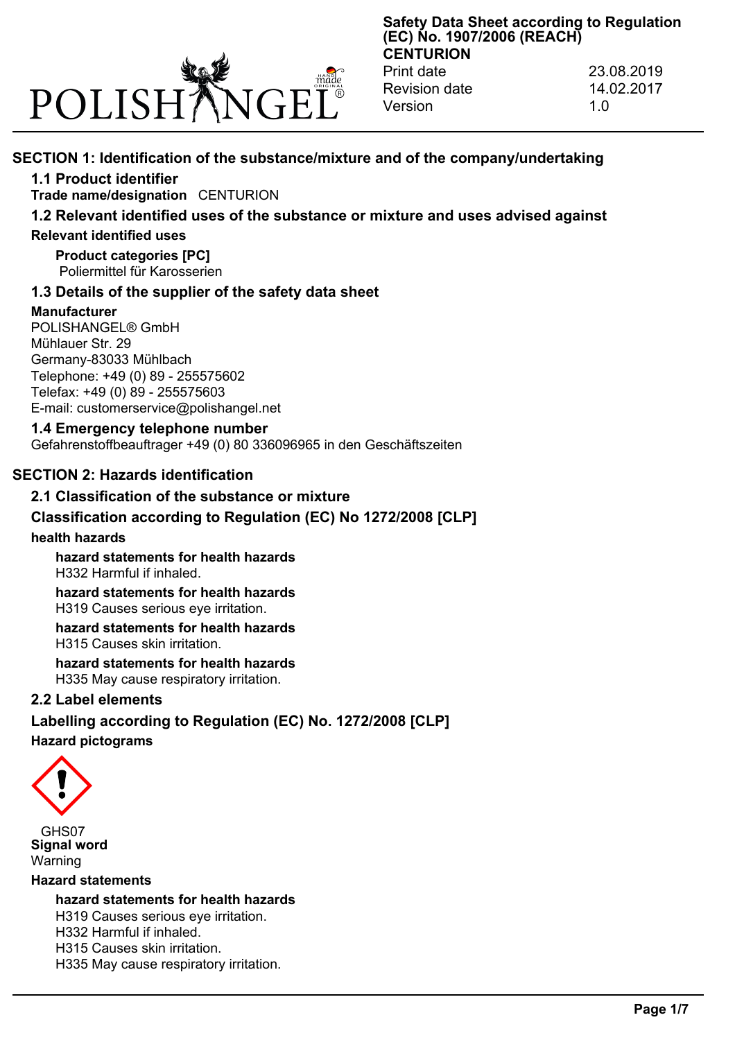

**Safety Data Sheet according to Regulation (EC) No. 1907/2006 (REACH) CENTURION** Print date 23.08.2019

Revision date 14.02.2017 Version 1.0

# **SECTION 1: Identification of the substance/mixture and of the company/undertaking**

# **1.1 Product identifier**

**Trade name/designation** CENTURION

# **1.2 Relevant identified uses of the substance or mixture and uses advised against**

# **Relevant identified uses**

**Product categories [PC]** Poliermittel für Karosserien

# **1.3 Details of the supplier of the safety data sheet**

# **Manufacturer**

POLISHANGEL® GmbH Mühlauer Str. 29 Germany-83033 Mühlbach Telephone: +49 (0) 89 - 255575602 Telefax: +49 (0) 89 - 255575603 E-mail: customerservice@polishangel.net

# **1.4 Emergency telephone number**

Gefahrenstoffbeauftrager +49 (0) 80 336096965 in den Geschäftszeiten

# **SECTION 2: Hazards identification**

# **2.1 Classification of the substance or mixture**

# **Classification according to Regulation (EC) No 1272/2008 [CLP]**

# **health hazards**

**hazard statements for health hazards** H332 Harmful if inhaled.

**hazard statements for health hazards** H319 Causes serious eye irritation.

**hazard statements for health hazards** H315 Causes skin irritation.

**hazard statements for health hazards** H335 May cause respiratory irritation.

# **2.2 Label elements**

# **Labelling according to Regulation (EC) No. 1272/2008 [CLP] Hazard pictograms**



GHS07 **Signal word** Warning

#### **Hazard statements**

**hazard statements for health hazards** H319 Causes serious eye irritation. H332 Harmful if inhaled.

H315 Causes skin irritation.

H335 May cause respiratory irritation.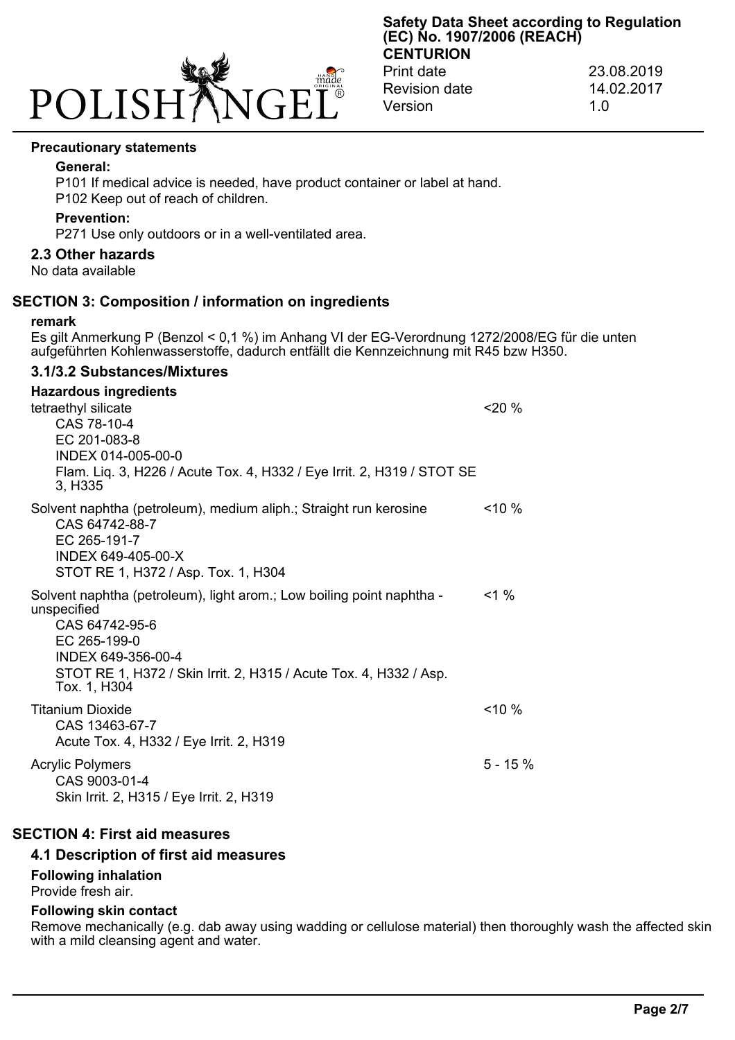

#### **Precautionary statements**

#### **General:**

P101 If medical advice is needed, have product container or label at hand.

P102 Keep out of reach of children.

#### **Prevention:**

P271 Use only outdoors or in a well-ventilated area.

#### **2.3 Other hazards**

No data available

#### **SECTION 3: Composition / information on ingredients**

#### **remark**

Es gilt Anmerkung P (Benzol < 0,1 %) im Anhang VI der EG-Verordnung 1272/2008/EG für die unten aufgeführten Kohlenwasserstoffe, dadurch entfällt die Kennzeichnung mit R45 bzw H350.

### **3.1/3.2 Substances/Mixtures**

# **Hazardous ingredients**

| tetraethyl silicate<br>CAS 78-10-4<br>EC 201-083-8<br>INDEX 014-005-00-0<br>Flam. Liq. 3, H226 / Acute Tox. 4, H332 / Eye Irrit. 2, H319 / STOT SE<br>3, H <sub>335</sub>                                                         | 20%       |
|-----------------------------------------------------------------------------------------------------------------------------------------------------------------------------------------------------------------------------------|-----------|
| Solvent naphtha (petroleum), medium aliph.; Straight run kerosine<br>CAS 64742-88-7<br>EC 265-191-7<br>INDEX 649-405-00-X<br>STOT RE 1, H372 / Asp. Tox. 1, H304                                                                  | $10\%$    |
| Solvent naphtha (petroleum), light arom.; Low boiling point naphtha -<br>unspecified<br>CAS 64742-95-6<br>EC 265-199-0<br>INDEX 649-356-00-4<br>STOT RE 1, H372 / Skin Irrit. 2, H315 / Acute Tox. 4, H332 / Asp.<br>Tox. 1, H304 | $1\%$     |
| <b>Titanium Dioxide</b><br>CAS 13463-67-7<br>Acute Tox. 4, H332 / Eye Irrit. 2, H319                                                                                                                                              | $10\%$    |
| <b>Acrylic Polymers</b><br>CAS 9003-01-4<br>Skin Irrit. 2, H315 / Eye Irrit. 2, H319                                                                                                                                              | $5 - 15%$ |

#### **SECTION 4: First aid measures**

#### **4.1 Description of first aid measures**

#### **Following inhalation**

Provide fresh air.

#### **Following skin contact**

Remove mechanically (e.g. dab away using wadding or cellulose material) then thoroughly wash the affected skin with a mild cleansing agent and water.

**Safety Data Sheet according to Regulation (EC) No. 1907/2006 (REACH) CENTURION**

Print date 23.08.2019 Revision date 14.02.2017 Version 1.0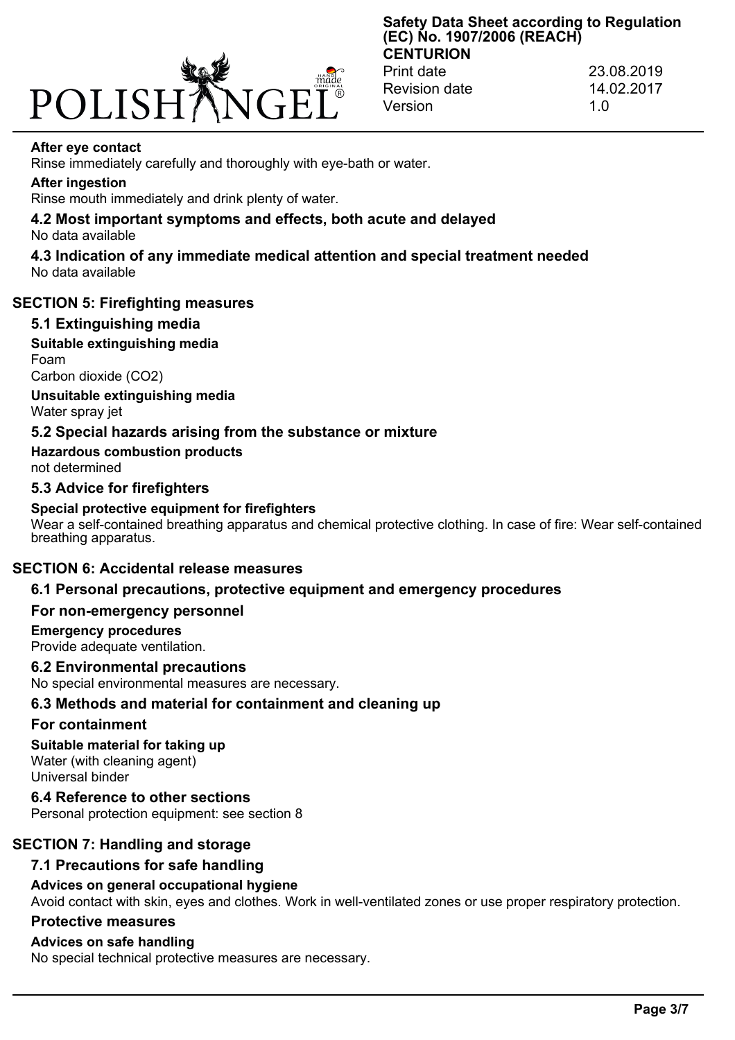

Print date 23.08.2019 Revision date 14.02.2017 Version 1.0

#### **After eye contact**

Rinse immediately carefully and thoroughly with eye-bath or water.

#### **After ingestion**

Rinse mouth immediately and drink plenty of water.

#### **4.2 Most important symptoms and effects, both acute and delayed** No data available

**4.3 Indication of any immediate medical attention and special treatment needed** No data available

#### **SECTION 5: Firefighting measures**

#### **5.1 Extinguishing media**

**Suitable extinguishing media** Foam

Carbon dioxide (CO2)

**Unsuitable extinguishing media** Water spray jet

## **5.2 Special hazards arising from the substance or mixture**

**Hazardous combustion products** not determined

## **5.3 Advice for firefighters**

## **Special protective equipment for firefighters**

Wear a self-contained breathing apparatus and chemical protective clothing. In case of fire: Wear self-contained breathing apparatus.

## **SECTION 6: Accidental release measures**

# **6.1 Personal precautions, protective equipment and emergency procedures**

#### **For non-emergency personnel**

# **Emergency procedures**

Provide adequate ventilation.

# **6.2 Environmental precautions**

No special environmental measures are necessary.

# **6.3 Methods and material for containment and cleaning up**

# **For containment**

# **Suitable material for taking up**

Water (with cleaning agent) Universal binder

**6.4 Reference to other sections** Personal protection equipment: see section 8

# **SECTION 7: Handling and storage**

# **7.1 Precautions for safe handling**

# **Advices on general occupational hygiene**

Avoid contact with skin, eyes and clothes. Work in well-ventilated zones or use proper respiratory protection.

# **Protective measures**

# **Advices on safe handling**

No special technical protective measures are necessary.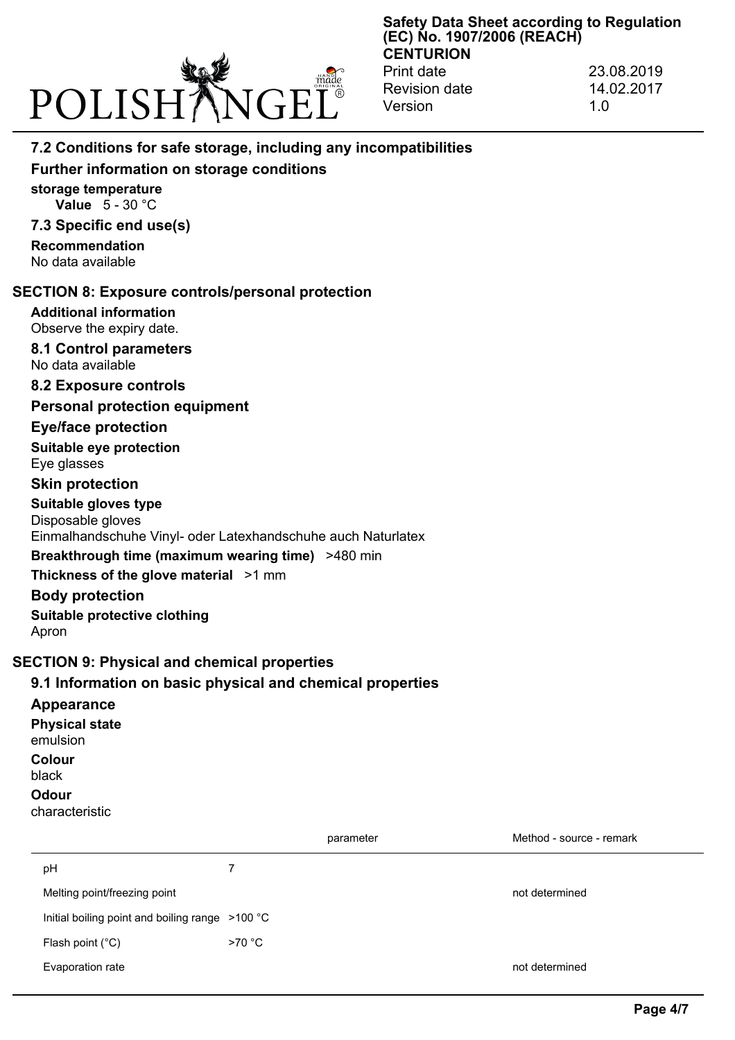

Print date 23.08.2019 Revision date 14.02.2017 Version 1.0

# **7.2 Conditions for safe storage, including any incompatibilities**

# **Further information on storage conditions**

**storage temperature Value** 5 - 30 °C

# **7.3 Specific end use(s)**

**Recommendation** No data available

## **SECTION 8: Exposure controls/personal protection**

## **Additional information**

Observe the expiry date.

#### **8.1 Control parameters** No data available

**8.2 Exposure controls**

## **Personal protection equipment**

## **Eye/face protection**

**Suitable eye protection** Eye glasses

# **Skin protection**

**Suitable gloves type** Disposable gloves Einmalhandschuhe Vinyl- oder Latexhandschuhe auch Naturlatex

# **Breakthrough time (maximum wearing time)** >480 min

**Thickness of the glove material** >1 mm

#### **Body protection**

**Suitable protective clothing** Apron

# **SECTION 9: Physical and chemical properties**

# **9.1 Information on basic physical and chemical properties**

#### **Appearance**

**Physical state** emulsion **Colour** black **Odour**

#### characteristic

|                                                 |        | parameter | Method - source - remark |
|-------------------------------------------------|--------|-----------|--------------------------|
| pH                                              |        |           |                          |
| Melting point/freezing point                    |        |           | not determined           |
| Initial boiling point and boiling range >100 °C |        |           |                          |
| Flash point $(^{\circ}C)$                       | >70 °C |           |                          |
| Evaporation rate                                |        |           | not determined           |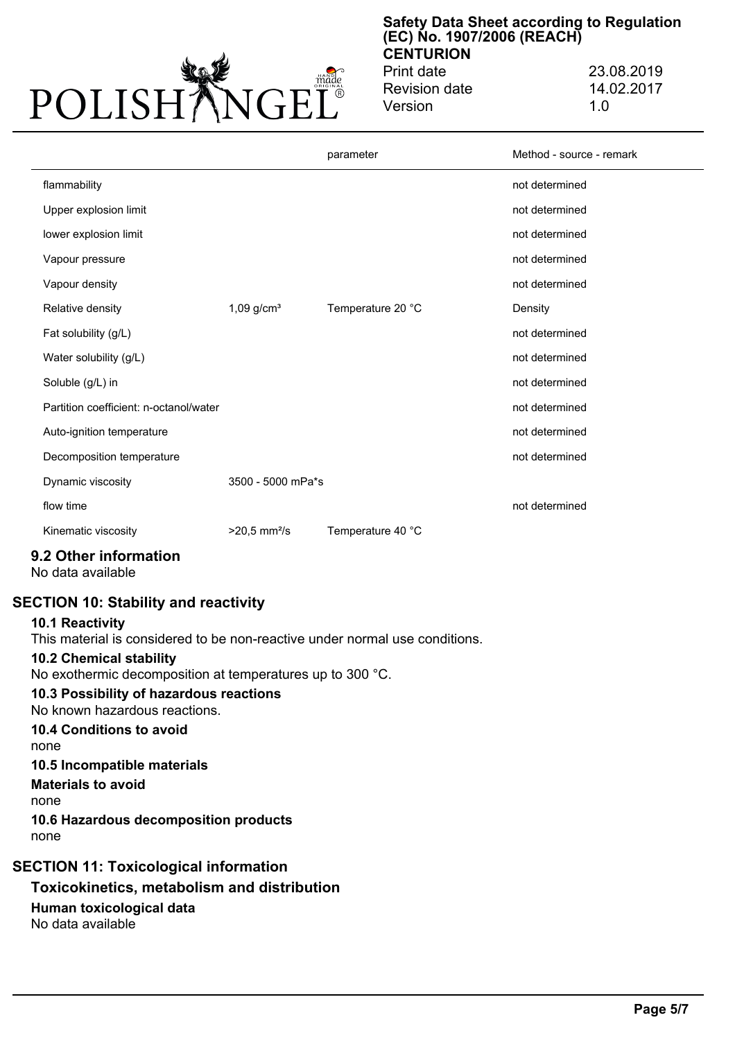

Print date 23.08.2019 Revision date 14.02.2017 Version 1.0

|                                        |                            | parameter         | Method - source - remark |
|----------------------------------------|----------------------------|-------------------|--------------------------|
| flammability                           |                            |                   | not determined           |
| Upper explosion limit                  |                            |                   | not determined           |
| lower explosion limit                  |                            |                   | not determined           |
| Vapour pressure                        |                            |                   | not determined           |
| Vapour density                         |                            |                   | not determined           |
| Relative density                       | $1,09$ g/cm <sup>3</sup>   | Temperature 20 °C | Density                  |
| Fat solubility (g/L)                   |                            |                   | not determined           |
| Water solubility (g/L)                 |                            |                   | not determined           |
| Soluble (g/L) in                       |                            |                   | not determined           |
| Partition coefficient: n-octanol/water |                            |                   | not determined           |
| Auto-ignition temperature              |                            |                   | not determined           |
| Decomposition temperature              |                            |                   | not determined           |
| Dynamic viscosity                      | 3500 - 5000 mPa*s          |                   |                          |
| flow time                              |                            |                   | not determined           |
| Kinematic viscosity                    | $>20.5$ mm <sup>2</sup> /s | Temperature 40 °C |                          |

# **9.2 Other information**

No data available

# **SECTION 10: Stability and reactivity**

#### **10.1 Reactivity**

This material is considered to be non-reactive under normal use conditions.

#### **10.2 Chemical stability**

No exothermic decomposition at temperatures up to 300 °C.

# **10.3 Possibility of hazardous reactions**

No known hazardous reactions.

# **10.4 Conditions to avoid**

none

## **10.5 Incompatible materials**

**Materials to avoid**

none

**10.6 Hazardous decomposition products** none

# **SECTION 11: Toxicological information**

# **Toxicokinetics, metabolism and distribution Human toxicological data** No data available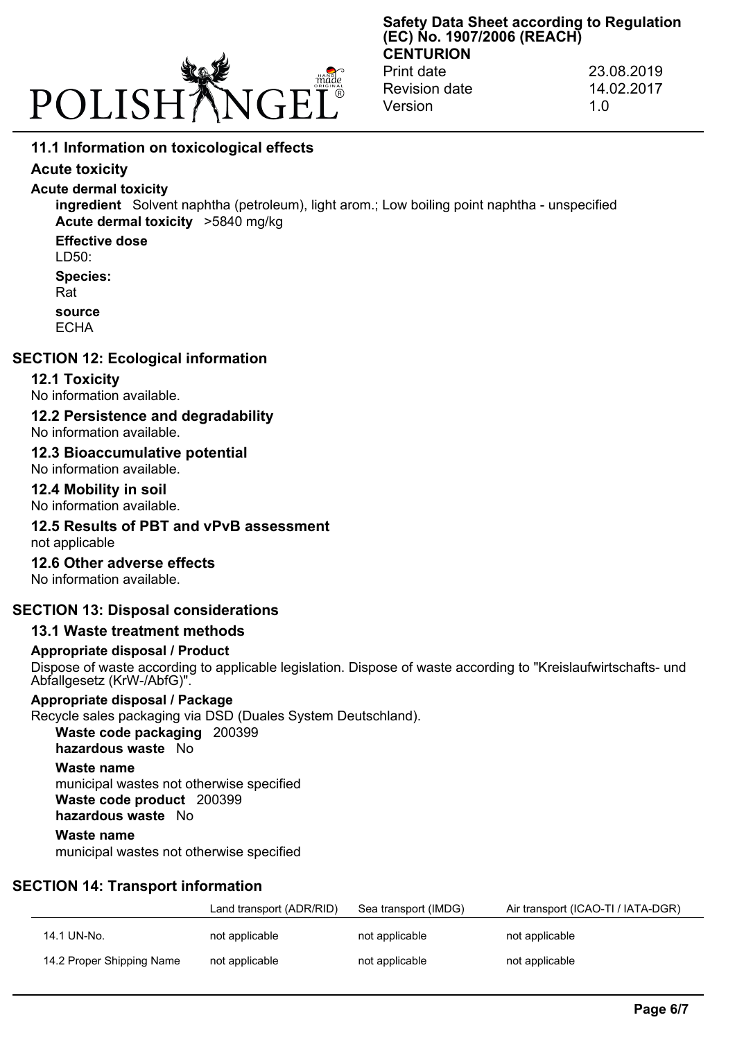

Print date 23.08.2019 Revision date 14.02.2017 Version 1.0

# **11.1 Information on toxicological effects**

## **Acute toxicity**

## **Acute dermal toxicity**

**ingredient** Solvent naphtha (petroleum), light arom.; Low boiling point naphtha - unspecified **Acute dermal toxicity** >5840 mg/kg

**Effective dose**

 $LD50<sup>1</sup>$ 

**Species:**

Rat

**source**

**ECHA** 

## **SECTION 12: Ecological information**

## **12.1 Toxicity**

No information available.

# **12.2 Persistence and degradability**

No information available.

#### **12.3 Bioaccumulative potential**

No information available.

#### **12.4 Mobility in soil**

No information available.

# **12.5 Results of PBT and vPvB assessment**

not applicable

## **12.6 Other adverse effects**

No information available.

# **SECTION 13: Disposal considerations**

# **13.1 Waste treatment methods**

#### **Appropriate disposal / Product**

Dispose of waste according to applicable legislation. Dispose of waste according to "Kreislaufwirtschafts- und Abfallgesetz (KrW-/AbfG)".

# **Appropriate disposal / Package**

Recycle sales packaging via DSD (Duales System Deutschland). **Waste code packaging** 200399

**hazardous waste** No

# **Waste name**

municipal wastes not otherwise specified **Waste code product** 200399 **hazardous waste** No

#### **Waste name**

municipal wastes not otherwise specified

# **SECTION 14: Transport information**

|                           | Land transport (ADR/RID) | Sea transport (IMDG) | Air transport (ICAO-TI / IATA-DGR) |
|---------------------------|--------------------------|----------------------|------------------------------------|
| 14.1 UN-No.               | not applicable           | not applicable       | not applicable                     |
| 14.2 Proper Shipping Name | not applicable           | not applicable       | not applicable                     |